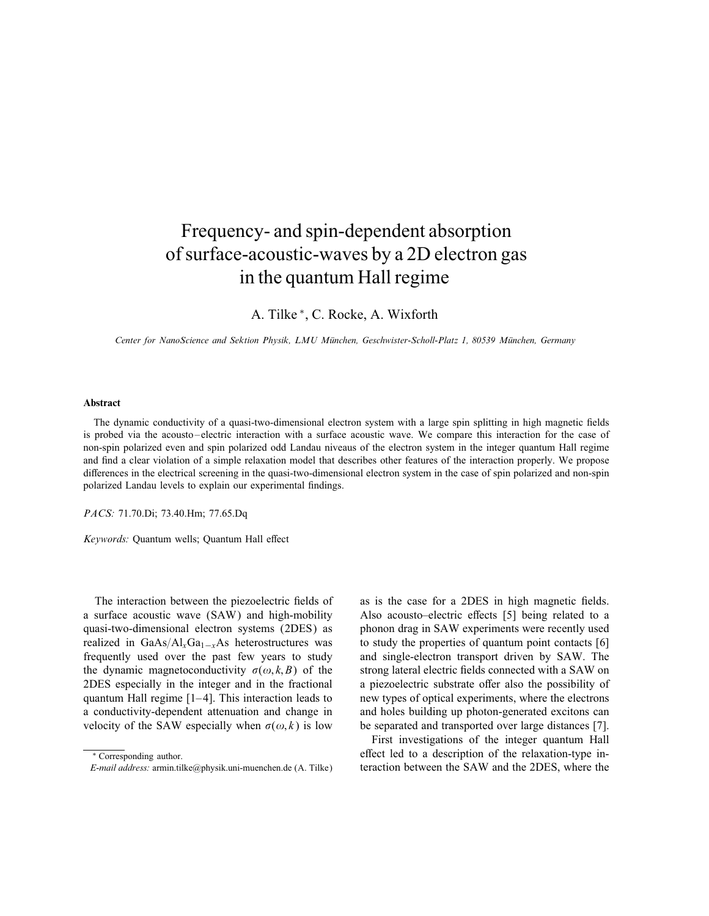## Frequency- and spin-dependent absorption ofsurface-acoustic-waves by a 2D electron gas in the quantum Hall regime

A. Tilke ∗ , C. Rocke, A. Wixforth

Center for NanoScience and Sektion Physik, LMU Munchen, Geschwister-Scholl-Platz 1, 80539 Munchen, Germany

## Abstract

The dynamic conductivity of a quasi-two-dimensional electron system with a large spin splitting in high magnetic fields is probed via the acousto–electric interaction with a surface acoustic wave. We compare this interaction for the case of non-spin polarized even and spin polarized odd Landau niveaus of the electron system in the integer quantum Hall regime and find a clear violation of a simple relaxation model that describes other features of the interaction properly. We propose differences in the electrical screening in the quasi-two-dimensional electron system in the case of spin polarized and non-spin polarized Landau levels to explain our experimental findings.

PACS: 71.70.Di; 73.40.Hm; 77.65.Dq

Keywords: Quantum wells; Quantum Hall effect

The interaction between the piezoelectric fields of a surface acoustic wave (SAW) and high-mobility quasi-two-dimensional electron systems (2DES) as realized in GaAs/Al<sub>x</sub>Ga<sub>1−x</sub>As heterostructures was frequently used over the past few years to study the dynamic magnetoconductivity  $\sigma(\omega, k, B)$  of the 2DES especially in the integer and in the fractional quantum Hall regime [1–4]. This interaction leads to a conductivity-dependent attenuation and change in velocity of the SAW especially when  $\sigma(\omega, k)$  is low

as is the case for a 2DES in high magnetic fields. Also acousto–electric effects [5] being related to a phonon drag in SAW experiments were recently used to study the properties of quantum point contacts [6] and single-electron transport driven by SAW. The strong lateral electric fields connected with a SAW on a piezoelectric substrate offer also the possibility of new types of optical experiments, where the electrons and holes building up photon-generated excitons can be separated and transported over large distances [7].

First investigations of the integer quantum Hall effect led to a description of the relaxation-type interaction between the SAW and the 2DES, where the

<sup>∗</sup> Corresponding author.

E-mail address: armin.tilke@physik.uni-muenchen.de (A. Tilke)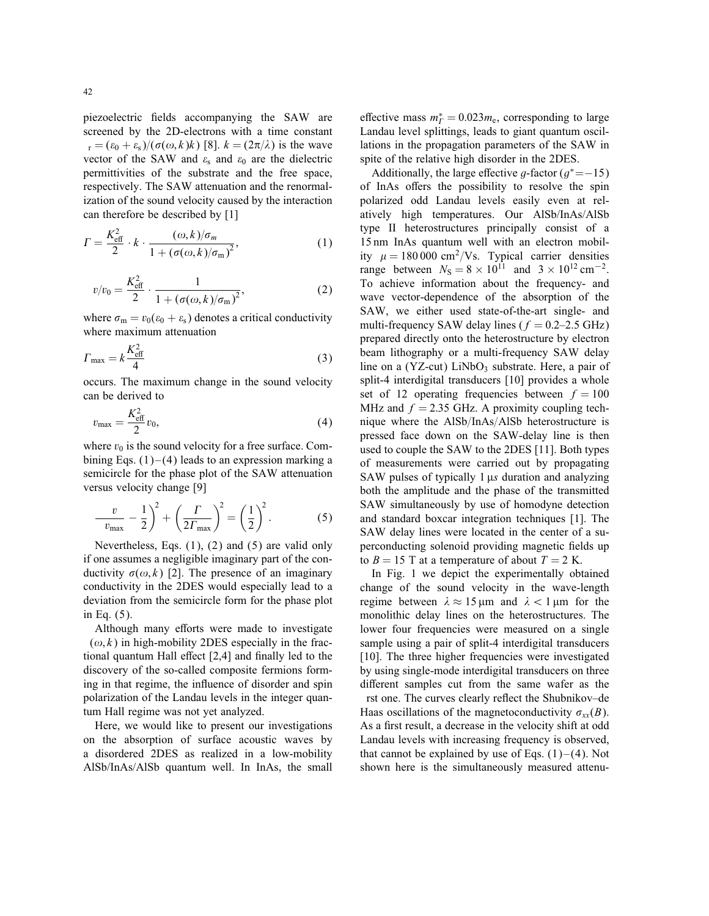piezoelectric fields accompanying the SAW are screened by the 2D-electrons with a time constant  $r = (\varepsilon_0 + \varepsilon_s)/(\sigma(\omega, k)k)$  [8].  $k = (2\pi/\lambda)$  is the wave vector of the SAW and  $\varepsilon_0$  and  $\varepsilon_0$  are the dielectric permittivities of the substrate and the free space, respectively. The SAW attenuation and the renormalization of the sound velocity caused by the interaction can therefore be described by [1]

$$
\Gamma = \frac{K_{\text{eff}}^2}{2} \cdot k \cdot \frac{(\omega, k)/\sigma_m}{1 + (\sigma(\omega, k)/\sigma_m)^2},\tag{1}
$$

$$
v/v_0 = \frac{K_{\text{eff}}^2}{2} \cdot \frac{1}{1 + (\sigma(\omega, k)/\sigma_m)^2},
$$
 (2)

where  $\sigma_{\rm m} = v_0(\epsilon_0 + \epsilon_{\rm s})$  denotes a critical conductivity where maximum attenuation

$$
\Gamma_{\text{max}} = k \frac{K_{\text{eff}}^2}{4} \tag{3}
$$

occurs. The maximum change in the sound velocity can be derived to

$$
v_{\text{max}} = \frac{K_{\text{eff}}^2}{2} v_0, \tag{4}
$$

where  $v_0$  is the sound velocity for a free surface. Combining Eqs.  $(1)$ – $(4)$  leads to an expression marking a semicircle for the phase plot of the SAW attenuation versus velocity change [9]

$$
\frac{v}{v_{\text{max}}} - \frac{1}{2}\bigg)^2 + \left(\frac{\Gamma}{2\Gamma_{\text{max}}}\right)^2 = \left(\frac{1}{2}\right)^2. \tag{5}
$$

Nevertheless, Eqs. (1), (2) and (5) are valid only if one assumes a negligible imaginary part of the conductivity  $\sigma(\omega, k)$  [2]. The presence of an imaginary conductivity in the 2DES would especially lead to a deviation from the semicircle form for the phase plot in Eq. (5).

Although many efforts were made to investigate  $(\omega, k)$  in high-mobility 2DES especially in the fractional quantum Hall effect  $[2,4]$  and finally led to the discovery of the so-called composite fermions forming in that regime, the influence of disorder and spin polarization of the Landau levels in the integer quantum Hall regime was not yet analyzed.

Here, we would like to present our investigations on the absorption of surface acoustic waves by a disordered 2DES as realized in a low-mobility AlSb/InAs/AlSb quantum well. In InAs, the small

effective mass  $m_{\text{F}}^* = 0.023 m_{\text{e}}$ , corresponding to large Landau level splittings, leads to giant quantum oscillations in the propagation parameters of the SAW in spite of the relative high disorder in the 2DES.

Additionally, the large effective g-factor  $(g^* = -15)$ of InAs offers the possibility to resolve the spin polarized odd Landau levels easily even at relatively high temperatures. Our AlSb/InAs/AlSb type II heterostructures principally consist of a 15 nm InAs quantum well with an electron mobility  $\mu = 180000 \text{ cm}^2/\text{Vs}$ . Typical carrier densities range between  $N_S = 8 \times 10^{11}$  and  $3 \times 10^{12}$  cm<sup>-2</sup>. To achieve information about the frequency- and wave vector-dependence of the absorption of the SAW, we either used state-of-the-art single- and multi-frequency SAW delay lines ( $f = 0.2{\text -}2.5$  GHz) prepared directly onto the heterostructure by electron beam lithography or a multi-frequency SAW delay line on a  $(YZ-cut)$  LiNbO<sub>3</sub> substrate. Here, a pair of split-4 interdigital transducers [10] provides a whole set of 12 operating frequencies between  $f = 100$ MHz and  $f = 2.35$  GHz. A proximity coupling technique where the  $AISb/InAs/AISb$  heterostructure is pressed face down on the SAW-delay line is then used to couple the SAW to the 2DES [11]. Both types of measurements were carried out by propagating SAW pulses of typically  $1 \mu s$  duration and analyzing both the amplitude and the phase of the transmitted SAW simultaneously by use of homodyne detection and standard boxcar integration techniques [1]. The SAW delay lines were located in the center of a superconducting solenoid providing magnetic fields up to  $B = 15$  T at a temperature of about  $T = 2$  K.

In Fig. 1 we depict the experimentally obtained change of the sound velocity in the wave-length regime between  $\lambda \approx 15 \,\mu \text{m}$  and  $\lambda < 1 \,\mu \text{m}$  for the monolithic delay lines on the heterostructures. The lower four frequencies were measured on a single sample using a pair of split-4 interdigital transducers [10]. The three higher frequencies were investigated by using single-mode interdigital transducers on three different samples cut from the same wafer as the rst one. The curves clearly reflect the Shubnikov-de

Haas oscillations of the magnetoconductivity  $\sigma_{xx}(B)$ . As a first result, a decrease in the velocity shift at odd Landau levels with increasing frequency is observed, that cannot be explained by use of Eqs.  $(1)$ – $(4)$ . Not shown here is the simultaneously measured attenu-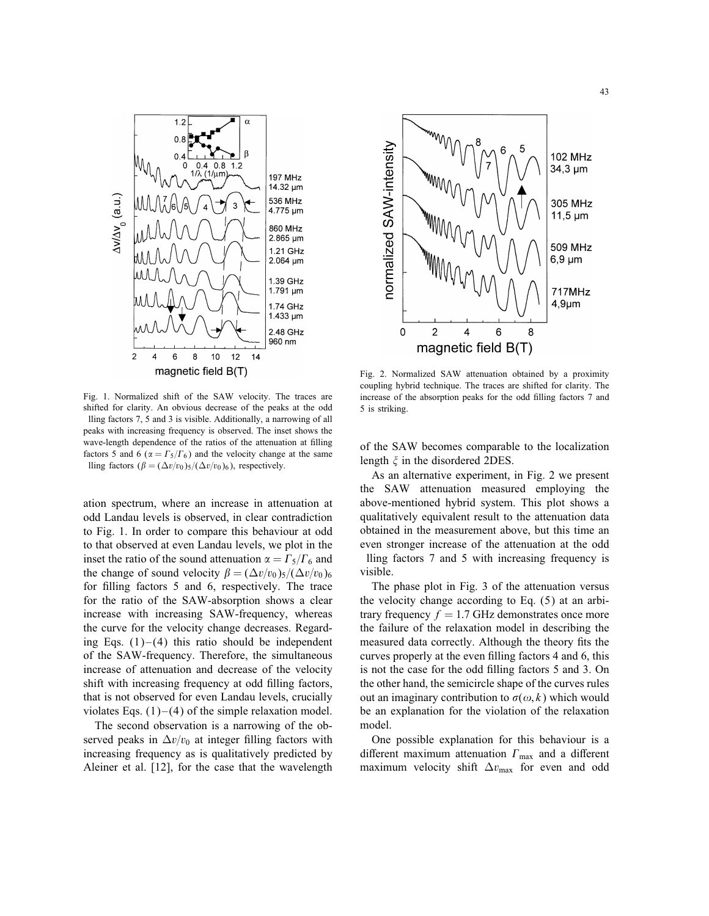

Fig. 1. Normalized shift of the SAW velocity. The traces are shifted for clarity. An obvious decrease of the peaks at the odd lling factors 7, 5 and 3 is visible. Additionally, a narrowing of all peaks with increasing frequency is observed. The inset shows the wave-length dependence of the ratios of the attenuation at filling factors 5 and 6 ( $\alpha = \Gamma_5/\Gamma_6$ ) and the velocity change at the same lling factors  $(\beta = (\Delta v/v_0)_5/(\Delta v/v_0)_6)$ , respectively.

ation spectrum, where an increase in attenuation at odd Landau levels is observed, in clear contradiction to Fig. 1. In order to compare this behaviour at odd to that observed at even Landau levels, we plot in the inset the ratio of the sound attenuation  $\alpha = \Gamma_5/\Gamma_6$  and the change of sound velocity  $\beta = (\Delta v/v_0)_5/(\Delta v/v_0)_6$ for filling factors 5 and 6, respectively. The trace for the ratio of the SAW-absorption shows a clear increase with increasing SAW-frequency, whereas the curve for the velocity change decreases. Regarding Eqs.  $(1)$ – $(4)$  this ratio should be independent of the SAW-frequency. Therefore, the simultaneous increase of attenuation and decrease of the velocity shift with increasing frequency at odd filling factors, that is not observed for even Landau levels, crucially violates Eqs.  $(1)$ – $(4)$  of the simple relaxation model.

The second observation is a narrowing of the observed peaks in  $\Delta v/v_0$  at integer filling factors with increasing frequency as is qualitatively predicted by Aleiner et al. [12], for the case that the wavelength



Fig. 2. Normalized SAW attenuation obtained by a proximity coupling hybrid technique. The traces are shifted for clarity. The increase of the absorption peaks for the odd filling factors 7 and 5 is striking.

of the SAW becomes comparable to the localization length  $\xi$  in the disordered 2DES.

As an alternative experiment, in Fig. 2 we present the SAW attenuation measured employing the above-mentioned hybrid system. This plot shows a qualitatively equivalent result to the attenuation data obtained in the measurement above, but this time an even stronger increase of the attenuation at the odd

lling factors 7 and 5 with increasing frequency is visible.

The phase plot in Fig. 3 of the attenuation versus the velocity change according to Eq. (5) at an arbitrary frequency  $f = 1.7$  GHz demonstrates once more the failure of the relaxation model in describing the measured data correctly. Although the theory fits the curves properly at the even filling factors 4 and 6, this is not the case for the odd filling factors 5 and 3. On the other hand, the semicircle shape of the curves rules out an imaginary contribution to  $\sigma(\omega, k)$  which would be an explanation for the violation of the relaxation model.

One possible explanation for this behaviour is a different maximum attenuation  $\Gamma_{\text{max}}$  and a different maximum velocity shift  $\Delta v_{\text{max}}$  for even and odd